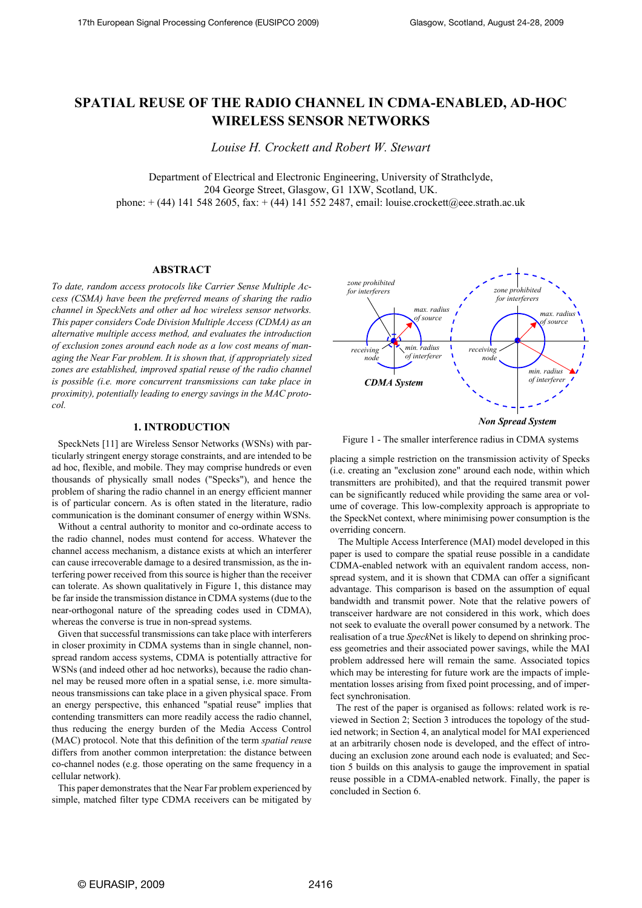# **SPATIAL REUSE OF THE RADIO CHANNEL IN CDMA-ENABLED, AD-HOC WIRELESS SENSOR NETWORKS**

*Louise H. Crockett and Robert W. Stewart*

Department of Electrical and Electronic Engineering, University of Strathclyde, 204 George Street, Glasgow, G1 1XW, Scotland, UK. phone: + (44) 141 548 2605, fax: + (44) 141 552 2487, email: louise.crockett@eee.strath.ac.uk

### **ABSTRACT**

*To date, random access protocols like Carrier Sense Multiple Access (CSMA) have been the preferred means of sharing the radio channel in SpeckNets and other ad hoc wireless sensor networks. This paper considers Code Division Multiple Access (CDMA) as an alternative multiple access method, and evaluates the introduction of exclusion zones around each node as a low cost means of managing the Near Far problem. It is shown that, if appropriately sized zones are established, improved spatial reuse of the radio channel is possible (i.e. more concurrent transmissions can take place in proximity), potentially leading to energy savings in the MAC protocol.*

# **1. INTRODUCTION**

SpeckNets [11] are Wireless Sensor Networks (WSNs) with particularly stringent energy storage constraints, and are intended to be ad hoc, flexible, and mobile. They may comprise hundreds or even thousands of physically small nodes ("Specks"), and hence the problem of sharing the radio channel in an energy efficient manner is of particular concern. As is often stated in the literature, radio communication is the dominant consumer of energy within WSNs.

Without a central authority to monitor and co-ordinate access to the radio channel, nodes must contend for access. Whatever the channel access mechanism, a distance exists at which an interferer can cause irrecoverable damage to a desired transmission, as the interfering power received from this source is higher than the receiver can tolerate. As shown qualitatively in Figure 1, this distance may be far inside the transmission distance in CDMA systems (due to the near-orthogonal nature of the spreading codes used in CDMA), whereas the converse is true in non-spread systems.

Given that successful transmissions can take place with interferers in closer proximity in CDMA systems than in single channel, nonspread random access systems, CDMA is potentially attractive for WSNs (and indeed other ad hoc networks), because the radio channel may be reused more often in a spatial sense, i.e. more simultaneous transmissions can take place in a given physical space. From an energy perspective, this enhanced "spatial reuse" implies that contending transmitters can more readily access the radio channel, thus reducing the energy burden of the Media Access Control (MAC) protocol. Note that this definition of the term *spatial reus*e differs from another common interpretation: the distance between co-channel nodes (e.g. those operating on the same frequency in a cellular network).

This paper demonstrates that the Near Far problem experienced by simple, matched filter type CDMA receivers can be mitigated by



Figure 1 - The smaller interference radius in CDMA systems

placing a simple restriction on the transmission activity of Specks (i.e. creating an "exclusion zone" around each node, within which transmitters are prohibited), and that the required transmit power can be significantly reduced while providing the same area or volume of coverage. This low-complexity approach is appropriate to the SpeckNet context, where minimising power consumption is the overriding concern.

 The Multiple Access Interference (MAI) model developed in this paper is used to compare the spatial reuse possible in a candidate CDMA-enabled network with an equivalent random access, nonspread system, and it is shown that CDMA can offer a significant advantage. This comparison is based on the assumption of equal bandwidth and transmit power. Note that the relative powers of transceiver hardware are not considered in this work, which does not seek to evaluate the overall power consumed by a network. The realisation of a true *Speck*Net is likely to depend on shrinking process geometries and their associated power savings, while the MAI problem addressed here will remain the same. Associated topics which may be interesting for future work are the impacts of implementation losses arising from fixed point processing, and of imperfect synchronisation.

The rest of the paper is organised as follows: related work is reviewed in [Section 2;](#page-1-2) [Section 3](#page-1-0) introduces the topology of the studied network; in [Section 4,](#page-1-1) an analytical model for MAI experienced at an arbitrarily chosen node is developed, and the effect of introducing an exclusion zone around each node is evaluated; and [Sec](#page-3-0)[tion 5](#page-3-0) builds on this analysis to gauge the improvement in spatial reuse possible in a CDMA-enabled network. Finally, the paper is concluded in [Section 6](#page-4-0).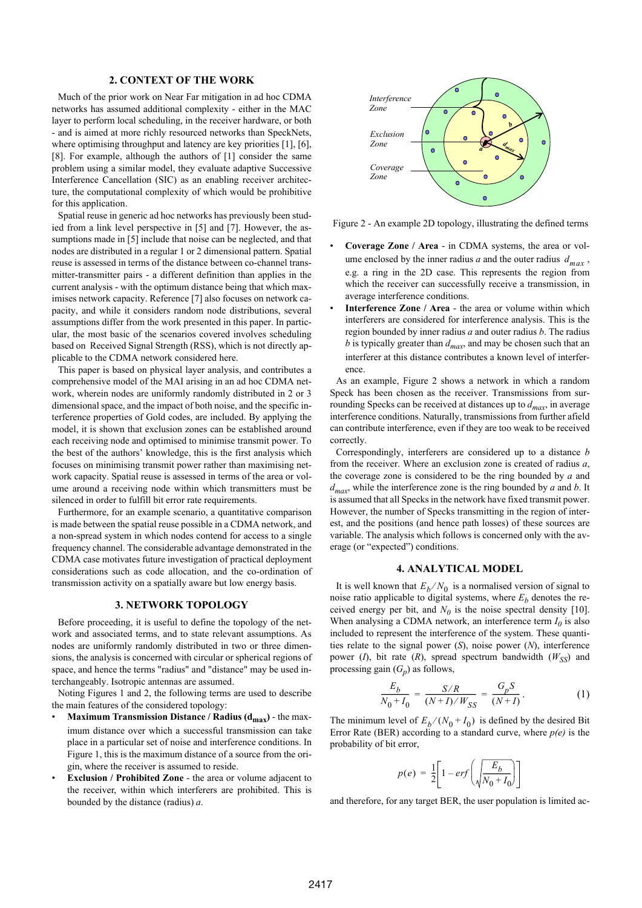# **2. CONTEXT OF THE WORK**

<span id="page-1-2"></span>Much of the prior work on Near Far mitigation in ad hoc CDMA networks has assumed additional complexity - either in the MAC layer to perform local scheduling, in the receiver hardware, or both - and is aimed at more richly resourced networks than SpeckNets, where optimising throughput and latency are key priorities [1], [6], [8]. For example, although the authors of [1] consider the same problem using a similar model, they evaluate adaptive Successive Interference Cancellation (SIC) as an enabling receiver architecture, the computational complexity of which would be prohibitive for this application.

Spatial reuse in generic ad hoc networks has previously been studied from a link level perspective in [\[5\]](#page-4-1) and [\[7\]](#page-4-2). However, the assumptions made in [\[5\]](#page-4-1) include that noise can be neglected, and that nodes are distributed in a regular 1 or 2 dimensional pattern. Spatial reuse is assessed in terms of the distance between co-channel transmitter-transmitter pairs - a different definition than applies in the current analysis - with the optimum distance being that which maximises network capacity. Reference [\[7\]](#page-4-2) also focuses on network capacity, and while it considers random node distributions, several assumptions differ from the work presented in this paper. In particular, the most basic of the scenarios covered involves scheduling based on Received Signal Strength (RSS), which is not directly applicable to the CDMA network considered here.

This paper is based on physical layer analysis, and contributes a comprehensive model of the MAI arising in an ad hoc CDMA network, wherein nodes are uniformly randomly distributed in 2 or 3 dimensional space, and the impact of both noise, and the specific interference properties of Gold codes, are included. By applying the model, it is shown that exclusion zones can be established around each receiving node and optimised to minimise transmit power. To the best of the authors' knowledge, this is the first analysis which focuses on minimising transmit power rather than maximising network capacity. Spatial reuse is assessed in terms of the area or volume around a receiving node within which transmitters must be silenced in order to fulfill bit error rate requirements.

Furthermore, for an example scenario, a quantitative comparison is made between the spatial reuse possible in a CDMA network, and a non-spread system in which nodes contend for access to a single frequency channel. The considerable advantage demonstrated in the CDMA case motivates future investigation of practical deployment considerations such as code allocation, and the co-ordination of transmission activity on a spatially aware but low energy basis.

## **3. NETWORK TOPOLOGY**

<span id="page-1-0"></span>Before proceeding, it is useful to define the topology of the network and associated terms, and to state relevant assumptions. As nodes are uniformly randomly distributed in two or three dimensions, the analysis is concerned with circular or spherical regions of space, and hence the terms "radius" and "distance" may be used interchangeably. Isotropic antennas are assumed.

Noting Figures 1 and 2, the following terms are used to describe the main features of the considered topology:

- Maximum Transmission Distance / Radius (d<sub>max</sub>) the maximum distance over which a successful transmission can take place in a particular set of noise and interference conditions. In Figure 1, this is the maximum distance of a source from the origin, where the receiver is assumed to reside.
- **Exclusion / Prohibited Zone** the area or volume adjacent to the receiver, within which interferers are prohibited. This is bounded by the distance (radius) *a*.



Figure 2 - An example 2D topology, illustrating the defined terms

- **Coverage Zone / Area** in CDMA systems, the area or volume enclosed by the inner radius  $a$  and the outer radius  $d_{max}$ , e.g. a ring in the 2D case. This represents the region from which the receiver can successfully receive a transmission, in average interference conditions.
- **Interference Zone / Area** the area or volume within which interferers are considered for interference analysis. This is the region bounded by inner radius *a* and outer radius *b*. The radius *b* is typically greater than  $d_{max}$ , and may be chosen such that an interferer at this distance contributes a known level of interference.

As an example, Figure 2 shows a network in which a random Speck has been chosen as the receiver. Transmissions from surrounding Specks can be received at distances up to  $d_{max}$ , in average interference conditions. Naturally, transmissions from further afield can contribute interference, even if they are too weak to be received correctly.

Correspondingly, interferers are considered up to a distance *b* from the receiver. Where an exclusion zone is created of radius *a*, the coverage zone is considered to be the ring bounded by *a* and *dmax*, while the interference zone is the ring bounded by *a* and *b*. It is assumed that all Specks in the network have fixed transmit power. However, the number of Specks transmitting in the region of interest, and the positions (and hence path losses) of these sources are variable. The analysis which follows is concerned only with the average (or "expected") conditions.

# **4. ANALYTICAL MODEL**

<span id="page-1-1"></span>It is well known that  $E_b/N_0$  is a normalised version of signal to noise ratio applicable to digital systems, where  $E<sub>b</sub>$  denotes the received energy per bit, and  $N_0$  is the noise spectral density [10]. When analysing a CDMA network, an interference term  $I_0$  is also included to represent the interference of the system. These quantities relate to the signal power (*S*), noise power (*N*), interference power  $(I)$ , bit rate  $(R)$ , spread spectrum bandwidth  $(W_{SS})$  and processing gain  $(G_n)$  as follows,

$$
\frac{E_b}{N_0 + I_0} = \frac{S/R}{(N+I)/W_{SS}} = \frac{G_p S}{(N+I)}.
$$
 (1)

<span id="page-1-3"></span>The minimum level of  $E_b/(N_0 + I_0)$  is defined by the desired Bit Error Rate (BER) according to a standard curve, where  $p(e)$  is the probability of bit error,

$$
p(e) = \frac{1}{2} \left[ 1 - erf \left( \sqrt{\frac{E_b}{N_0 + I_0}} \right) \right]
$$

and therefore, for any target BER, the user population is limited ac-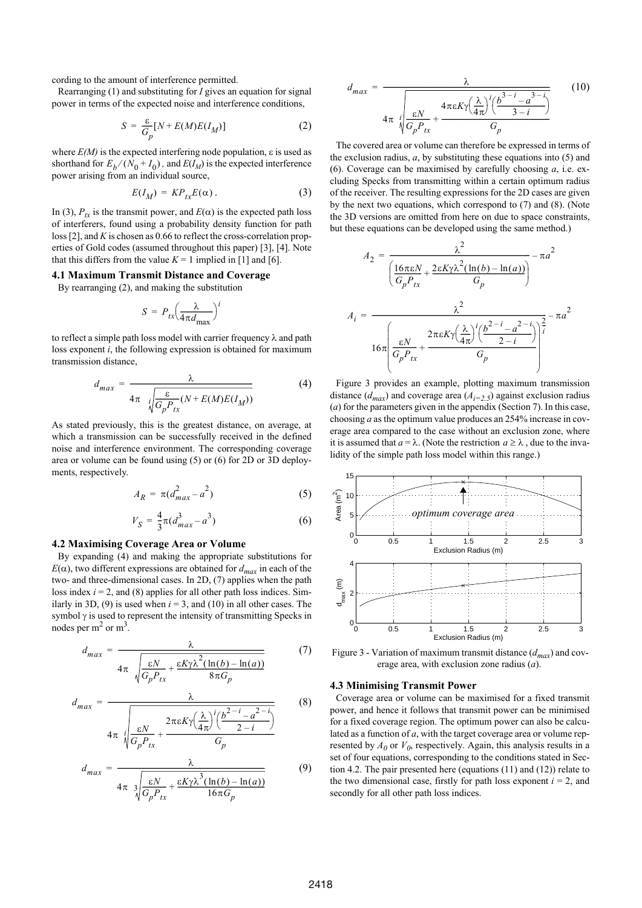cording to the amount of interference permitted.

<span id="page-2-0"></span>Rearranging [\(1\)](#page-1-3) and substituting for *I* gives an equation for signal power in terms of the expected noise and interference conditions,

$$
S = \frac{\varepsilon}{G_p} [N + E(M)E(I_M)] \tag{2}
$$

where  $E(M)$  is the expected interfering node population,  $\varepsilon$  is used as shorthand for  $E_b/(N_0 + I_0)$ , and  $E(I_M)$  is the expected interference power arising from an individual source,

$$
E(I_M) = KP_{tx}E(\alpha). \tag{3}
$$

<span id="page-2-3"></span>In [\(3\)](#page-2-3),  $P_{tx}$  is the transmit power, and *E*(α) is the expected path loss of interferers, found using a probability density function for path loss [2], and *K* is chosen as 0.66 to reflect the cross-correlation properties of Gold codes (assumed throughout this paper) [3], [4]. Note that this differs from the value  $K = 1$  implied in [1] and [6].

# **4.1 Maximum Transmit Distance and Coverage**

By rearranging [\(2\),](#page-2-0) and making the substitution

$$
S = P_{tx} \left(\frac{\lambda}{4\pi d_{\text{max}}} \right)^t
$$

<span id="page-2-4"></span>to reflect a simple path loss model with carrier frequency  $\lambda$  and path loss exponent *i*, the following expression is obtained for maximum transmission distance,

$$
d_{max} = \frac{\lambda}{4\pi \sqrt{\frac{\varepsilon}{G_p P_{tx}}(N + E(M)E(I_M))}}
$$
(4)

<span id="page-2-1"></span>As stated previously, this is the greatest distance, on average, at which a transmission can be successfully received in the defined noise and interference environment. The corresponding coverage area or volume can be found using [\(5\)](#page-2-1) or [\(6\)](#page-2-2) for 2D or 3D deployments, respectively.

$$
A_R = \pi (d_{max}^2 - a^2) \tag{5}
$$

$$
V_S = \frac{4}{3}\pi (d_{max}^3 - a^3)
$$
 (6)

#### <span id="page-2-9"></span><span id="page-2-2"></span>**4.2 Maximising Coverage Area or Volume**

By expanding [\(4\)](#page-2-4) and making the appropriate substitutions for  $E(\alpha)$ , two different expressions are obtained for  $d_{max}$  in each of the two- and three-dimensional cases. In 2D, [\(7\)](#page-2-5) applies when the path loss index  $i = 2$ , and [\(8\)](#page-2-6) applies for all other path loss indices. Sim-ilarly in 3D, [\(9\)](#page-2-7) is used when  $i = 3$ , and [\(10\)](#page-2-8) in all other cases. The symbol  $\gamma$  is used to represent the intensity of transmitting Specks in nodes per  $m^2$  or  $m^3$ .

<span id="page-2-6"></span><span id="page-2-5"></span>
$$
d_{max} = \frac{\lambda}{4\pi \sqrt{\frac{\varepsilon N}{G_p P_{tx}} + \frac{\varepsilon K \gamma \lambda^2 (\ln(b) - \ln(a))}{8\pi G_p}}} \tag{7}
$$

<span id="page-2-7"></span>
$$
d_{max} = \frac{\lambda}{4\pi i \sqrt{\frac{\varepsilon N}{G_p P_{tx}}} + \frac{2\pi \varepsilon K \gamma \left(\frac{\lambda}{4\pi}\right)^i \left(\frac{b^{2-i} - a^{2-i}}{2-i}\right)}}{G_p}
$$
(8)

$$
d_{max} = \frac{\lambda}{4\pi \sqrt[3]{\frac{\varepsilon N}{G_p P_{tx}} + \frac{\varepsilon K \gamma \lambda^3 (\ln(b) - \ln(a))}{16\pi G_p}}}
$$
(9)

<span id="page-2-8"></span>
$$
d_{max} = \frac{\lambda}{4\pi \sqrt{\frac{\varepsilon N}{G_p P_{tx}} + \frac{4\pi \varepsilon K \gamma \left(\frac{\lambda}{4\pi}\right)^i \left(\frac{b^{3-i} - a^{3-i}}{3-i}\right)}{G_p}}}
$$
(10)

The covered area or volume can therefore be expressed in terms of the exclusion radius, *a*, by substituting these equations into [\(5\)](#page-2-1) and [\(6\).](#page-2-2) Coverage can be maximised by carefully choosing *a*, i.e. excluding Specks from transmitting within a certain optimum radius of the receiver. The resulting expressions for the 2D cases are given by the next two equations, which correspond to [\(7\)](#page-2-5) and [\(8\).](#page-2-6) (Note the 3D versions are omitted from here on due to space constraints, but these equations can be developed using the same method.)

$$
A_2 = \frac{\lambda^2}{\left(\frac{16\pi\varepsilon N}{G_p P_{tx}} + \frac{2\varepsilon K\gamma\lambda^2(\ln(b) - \ln(a))}{G_p}\right)} - \pi a^2
$$

$$
A_i = \frac{\lambda^2}{\sqrt{\frac{8N}{G_p P_{tx}}} + \frac{2\pi\varepsilon K\gamma\left(\frac{\lambda}{4\pi}\right)\left(\frac{b^{2-i} - a^{2-i}}{2-i}\right)\left(\frac{a}{b}\right)^2}} - \pi a^2
$$

[Figure 3](#page-2-10) provides an example, plotting maximum transmission distance  $(d_{max})$  and coverage area  $(A_{i=2.5})$  against exclusion radius (*a*) for the parameters given in the appendix [\(Section 7](#page-4-3)). In this case, choosing *a* as the optimum value produces an 254% increase in coverage area compared to the case without an exclusion zone, where it is assumed that  $a = \lambda$ . (Note the restriction  $a \ge \lambda$ , due to the invalidity of the simple path loss model within this range.)



<span id="page-2-10"></span> Figure 3 - Variation of maximum transmit distance (*dmax*) and coverage area, with exclusion zone radius (*a*).

#### **4.3 Minimising Transmit Power**

Coverage area or volume can be maximised for a fixed transmit power, and hence it follows that transmit power can be minimised for a fixed coverage region. The optimum power can also be calculated as a function of *a*, with the target coverage area or volume represented by  $A_0$  or  $V_0$ , respectively. Again, this analysis results in a set of four equations, corresponding to the conditions stated in [Sec](#page-2-9)[tion 4.2.](#page-2-9) The pair presented here (equations [\(11\)](#page-3-1) and [\(12\)\)](#page-3-2) relate to the two dimensional case, firstly for path loss exponent  $i = 2$ , and secondly for all other path loss indices.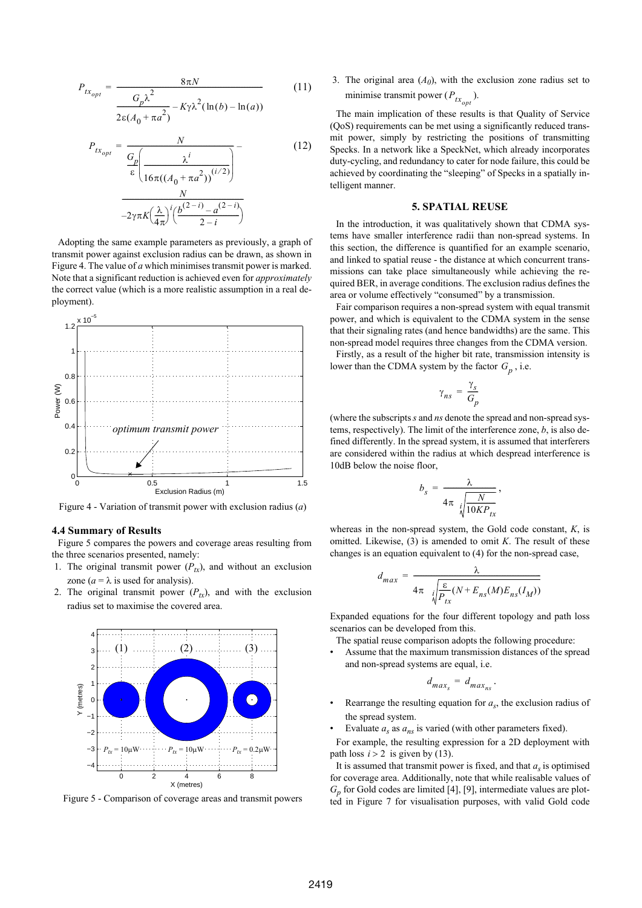<span id="page-3-2"></span><span id="page-3-1"></span>
$$
P_{tx_{opt}} = \frac{8\pi N}{\frac{G_p\lambda^2}{2\epsilon(A_0 + \pi a^2)} - K\gamma\lambda^2(\ln(b) - \ln(a))}
$$
(11)

$$
P_{tx_{opt}} = \frac{N}{\frac{G_p}{\epsilon} \left( \frac{\lambda^i}{16\pi((A_0 + \pi a^2))^{(i/2)}} \right)}
$$
(12)  

$$
\frac{N}{-2\gamma\pi K \left( \frac{\lambda}{4\pi} \right)^i \left( \frac{b^{(2-i)} - a^{(2-i)}}{2 - i} \right)}
$$

Adopting the same example parameters as previously, a graph of transmit power against exclusion radius can be drawn, as shown in Figure 4. The value of *a* which minimises transmit power is marked. Note that a significant reduction is achieved even for *approximately* the correct value (which is a more realistic assumption in a real deployment).



Figure 4 - Variation of transmit power with exclusion radius (*a*)

## **4.4 Summary of Results**

Figure 5 compares the powers and coverage areas resulting from the three scenarios presented, namely:

- 1. The original transmit power  $(P_{tx})$ , and without an exclusion zone ( $a = \lambda$  is used for analysis).
- 2. The original transmit power  $(P_{tx})$ , and with the exclusion radius set to maximise the covered area.



Figure 5 - Comparison of coverage areas and transmit powers

3. The original area  $(A<sub>0</sub>)$ , with the exclusion zone radius set to minimise transmit power  $(P_{tx_{opt}})$ .

The main implication of these results is that Quality of Service (QoS) requirements can be met using a significantly reduced transmit power, simply by restricting the positions of transmitting Specks. In a network like a SpeckNet, which already incorporates duty-cycling, and redundancy to cater for node failure, this could be achieved by coordinating the "sleeping" of Specks in a spatially intelligent manner.

# **5. SPATIAL REUSE**

<span id="page-3-0"></span>In the introduction, it was qualitatively shown that CDMA systems have smaller interference radii than non-spread systems. In this section, the difference is quantified for an example scenario, and linked to spatial reuse - the distance at which concurrent transmissions can take place simultaneously while achieving the required BER, in average conditions. The exclusion radius defines the area or volume effectively "consumed" by a transmission.

Fair comparison requires a non-spread system with equal transmit power, and which is equivalent to the CDMA system in the sense that their signaling rates (and hence bandwidths) are the same. This non-spread model requires three changes from the CDMA version.

Firstly, as a result of the higher bit rate, transmission intensity is lower than the CDMA system by the factor  $G_p$ , i.e.

$$
\gamma_{ns} = \frac{\gamma_s}{G_p}
$$

(where the subscripts *s* and *ns* denote the spread and non-spread systems, respectively). The limit of the interference zone, *b*, is also defined differently. In the spread system, it is assumed that interferers are considered within the radius at which despread interference is 10dB below the noise floor,

$$
b_s = \frac{\lambda}{4\pi \sqrt{\frac{N}{10KP_{tx}}}},
$$

whereas in the non-spread system, the Gold code constant, *K*, is omitted. Likewise, [\(3\)](#page-2-3) is amended to omit *K*. The result of these changes is an equation equivalent to [\(4\)](#page-2-4) for the non-spread case,

$$
d_{max} = \frac{\lambda}{4\pi \sqrt{\frac{\varepsilon}{P_{tx}}(N + E_{ns}(M)E_{ns}(I_M))}}
$$

Expanded equations for the four different topology and path loss scenarios can be developed from this.

The spatial reuse comparison adopts the following procedure:

Assume that the maximum transmission distances of the spread and non-spread systems are equal, i.e.

$$
d_{max_s} = d_{max_{ns}}.
$$

- Rearrange the resulting equation for  $a<sub>s</sub>$ , the exclusion radius of the spread system.
- Evaluate  $a_s$  as  $a_{ns}$  is varied (with other parameters fixed).

For example, the resulting expression for a 2D deployment with path loss  $i > 2$  is given by [\(13\)](#page-4-4).

It is assumed that transmit power is fixed, and that  $a<sub>c</sub>$  is optimised for coverage area. Additionally, note that while realisable values of *Gp* for Gold codes are limited [4], [9], intermediate values are plotted in Figure 7 for visualisation purposes, with valid Gold code